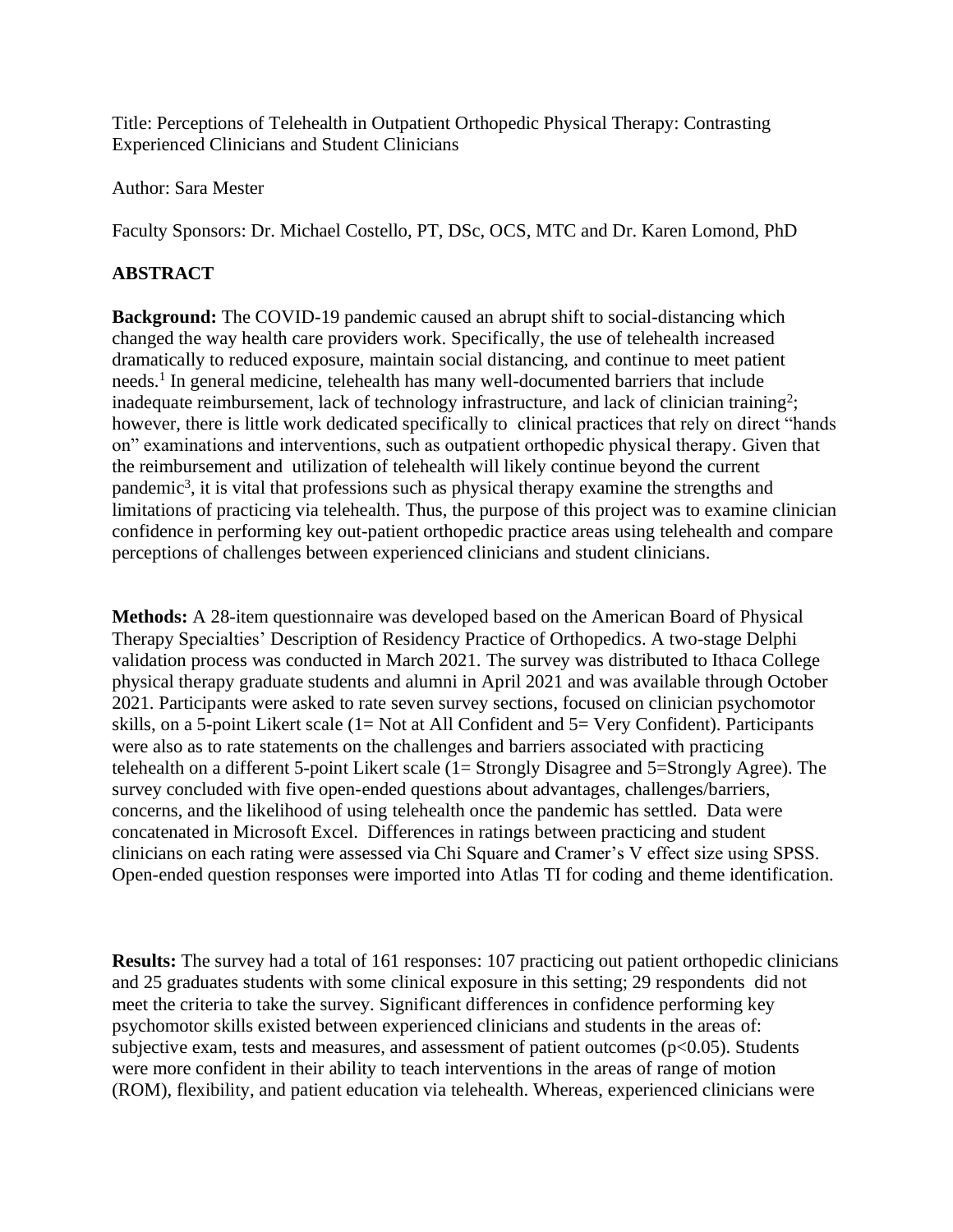Title: Perceptions of Telehealth in Outpatient Orthopedic Physical Therapy: Contrasting Experienced Clinicians and Student Clinicians

Author: Sara Mester

Faculty Sponsors: Dr. Michael Costello, PT, DSc, OCS, MTC and Dr. Karen Lomond, PhD

## **ABSTRACT**

**Background:** The COVID-19 pandemic caused an abrupt shift to social-distancing which changed the way health care providers work. Specifically, the use of telehealth increased dramatically to reduced exposure, maintain social distancing, and continue to meet patient needs.<sup>1</sup> In general medicine, telehealth has many well-documented barriers that include inadequate reimbursement, lack of technology infrastructure, and lack of clinician training<sup>2</sup>; however, there is little work dedicated specifically to clinical practices that rely on direct "hands on" examinations and interventions, such as outpatient orthopedic physical therapy. Given that the reimbursement and utilization of telehealth will likely continue beyond the current pandemic<sup>3</sup>, it is vital that professions such as physical therapy examine the strengths and limitations of practicing via telehealth. Thus, the purpose of this project was to examine clinician confidence in performing key out-patient orthopedic practice areas using telehealth and compare perceptions of challenges between experienced clinicians and student clinicians.

**Methods:** A 28-item questionnaire was developed based on the American Board of Physical Therapy Specialties' Description of Residency Practice of Orthopedics. A two-stage Delphi validation process was conducted in March 2021. The survey was distributed to Ithaca College physical therapy graduate students and alumni in April 2021 and was available through October 2021. Participants were asked to rate seven survey sections, focused on clinician psychomotor skills, on a 5-point Likert scale (1= Not at All Confident and 5= Very Confident). Participants were also as to rate statements on the challenges and barriers associated with practicing telehealth on a different 5-point Likert scale (1= Strongly Disagree and 5=Strongly Agree). The survey concluded with five open-ended questions about advantages, challenges/barriers, concerns, and the likelihood of using telehealth once the pandemic has settled. Data were concatenated in Microsoft Excel. Differences in ratings between practicing and student clinicians on each rating were assessed via Chi Square and Cramer's V effect size using SPSS. Open-ended question responses were imported into Atlas TI for coding and theme identification.

**Results:** The survey had a total of 161 responses: 107 practicing out patient orthopedic clinicians and 25 graduates students with some clinical exposure in this setting; 29 respondents did not meet the criteria to take the survey. Significant differences in confidence performing key psychomotor skills existed between experienced clinicians and students in the areas of: subjective exam, tests and measures, and assessment of patient outcomes ( $p<0.05$ ). Students were more confident in their ability to teach interventions in the areas of range of motion (ROM), flexibility, and patient education via telehealth. Whereas, experienced clinicians were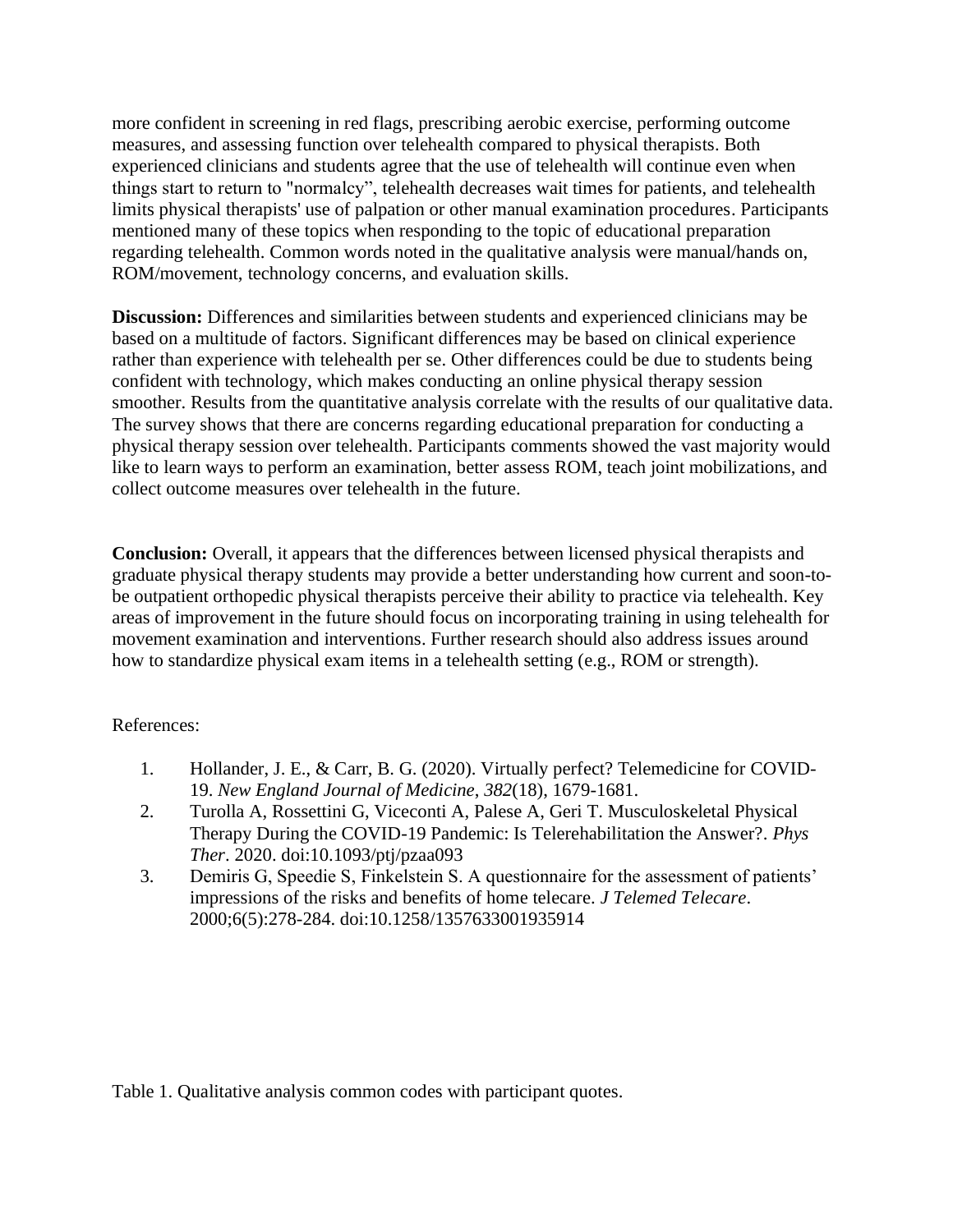more confident in screening in red flags, prescribing aerobic exercise, performing outcome measures, and assessing function over telehealth compared to physical therapists. Both experienced clinicians and students agree that the use of telehealth will continue even when things start to return to "normalcy", telehealth decreases wait times for patients, and telehealth limits physical therapists' use of palpation or other manual examination procedures. Participants mentioned many of these topics when responding to the topic of educational preparation regarding telehealth. Common words noted in the qualitative analysis were manual/hands on, ROM/movement, technology concerns, and evaluation skills.

**Discussion:** Differences and similarities between students and experienced clinicians may be based on a multitude of factors. Significant differences may be based on clinical experience rather than experience with telehealth per se. Other differences could be due to students being confident with technology, which makes conducting an online physical therapy session smoother. Results from the quantitative analysis correlate with the results of our qualitative data. The survey shows that there are concerns regarding educational preparation for conducting a physical therapy session over telehealth. Participants comments showed the vast majority would like to learn ways to perform an examination, better assess ROM, teach joint mobilizations, and collect outcome measures over telehealth in the future.

**Conclusion:** Overall, it appears that the differences between licensed physical therapists and graduate physical therapy students may provide a better understanding how current and soon-tobe outpatient orthopedic physical therapists perceive their ability to practice via telehealth. Key areas of improvement in the future should focus on incorporating training in using telehealth for movement examination and interventions. Further research should also address issues around how to standardize physical exam items in a telehealth setting (e.g., ROM or strength).

## References:

- 1. Hollander, J. E., & Carr, B. G. (2020). Virtually perfect? Telemedicine for COVID-19. *New England Journal of Medicine*, *382*(18), 1679-1681.
- 2. Turolla A, Rossettini G, Viceconti A, Palese A, Geri T. Musculoskeletal Physical Therapy During the COVID-19 Pandemic: Is Telerehabilitation the Answer?. *Phys Ther*. 2020. doi:10.1093/ptj/pzaa093
- 3. Demiris G, Speedie S, Finkelstein S. A questionnaire for the assessment of patients' impressions of the risks and benefits of home telecare. *J Telemed Telecare*. 2000;6(5):278-284. doi:10.1258/1357633001935914

Table 1. Qualitative analysis common codes with participant quotes.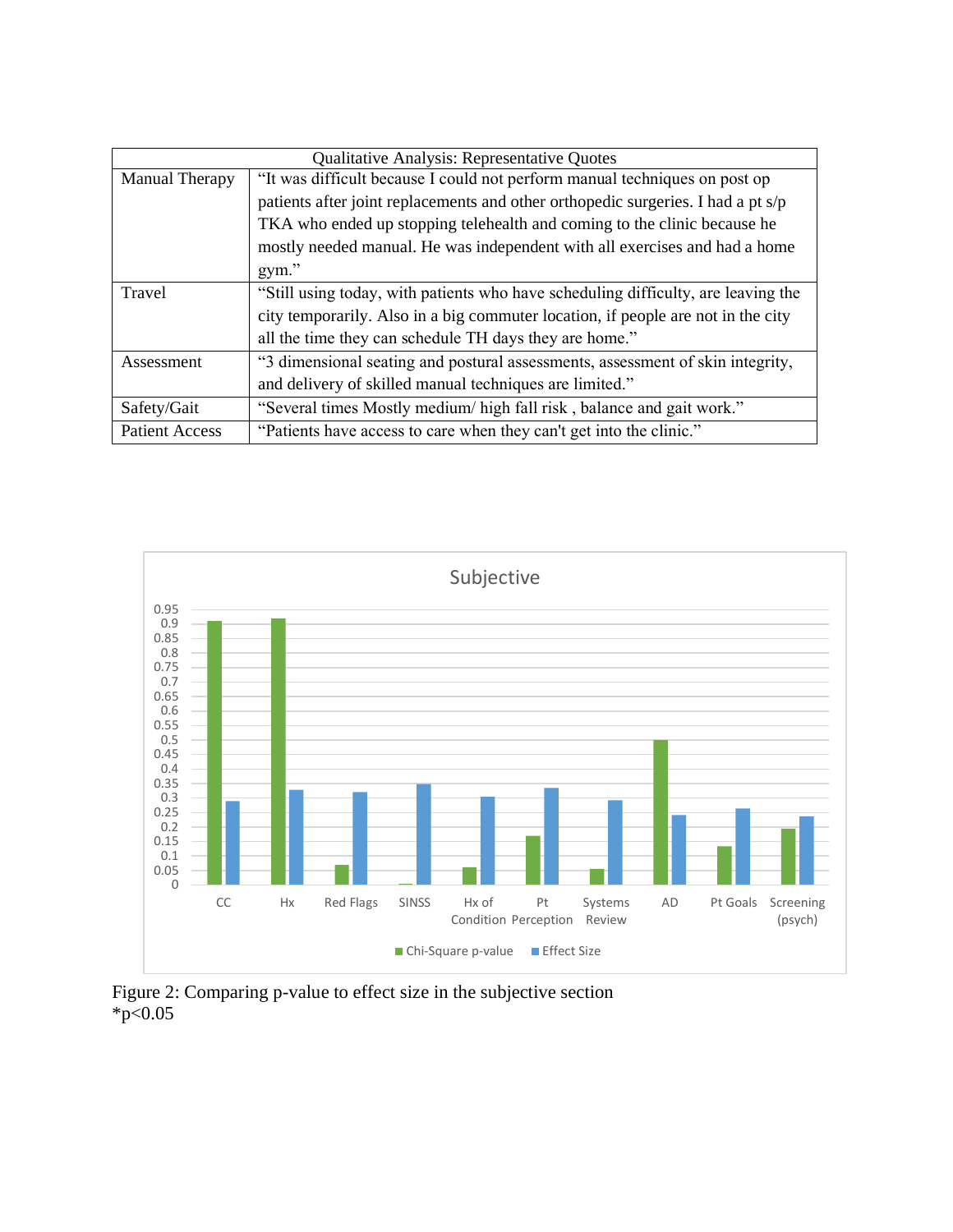| <b>Qualitative Analysis: Representative Quotes</b> |                                                                                   |  |  |
|----------------------------------------------------|-----------------------------------------------------------------------------------|--|--|
| Manual Therapy                                     | "It was difficult because I could not perform manual techniques on post op        |  |  |
|                                                    | patients after joint replacements and other orthopedic surgeries. I had a pt s/p  |  |  |
|                                                    | TKA who ended up stopping telehealth and coming to the clinic because he          |  |  |
|                                                    | mostly needed manual. He was independent with all exercises and had a home        |  |  |
|                                                    | gym."                                                                             |  |  |
| Travel                                             | "Still using today, with patients who have scheduling difficulty, are leaving the |  |  |
|                                                    | city temporarily. Also in a big commuter location, if people are not in the city  |  |  |
|                                                    | all the time they can schedule TH days they are home."                            |  |  |
| Assessment                                         | "3 dimensional seating and postural assessments, assessment of skin integrity,    |  |  |
|                                                    | and delivery of skilled manual techniques are limited."                           |  |  |
| Safety/Gait                                        | "Several times Mostly medium/ high fall risk, balance and gait work."             |  |  |
| <b>Patient Access</b>                              | "Patients have access to care when they can't get into the clinic."               |  |  |



Figure 2: Comparing p-value to effect size in the subjective section  $*_{p<0.05}$